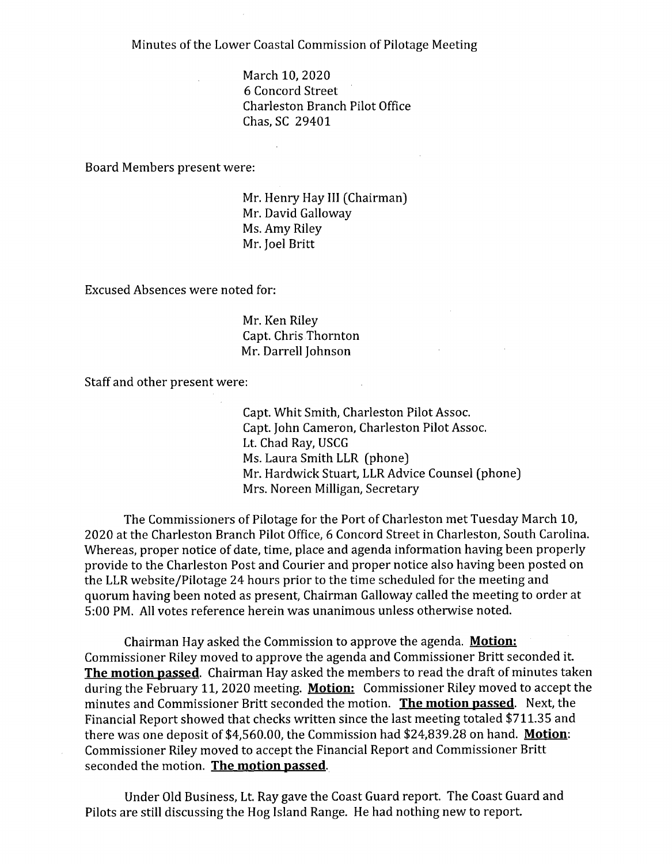Minutes of the Lower Coastal Commission of Pilotage Meeting

March 10, 2020 6 Concord Street Charleston Branch Pilot Office Chas, SC 29401

Board Members present were:

Mr. Henry Hay **III** (Chairman) Mr. David Galloway Ms. Amy Riley Mr. Joel Britt

Excused Absences were noted for:

Mr. Ken Riley Capt. Chris Thornton Mr. Darrell Johnson

Staff and other present were:

Capt. Whit Smith, Charleston Pilot Assoc. Capt. John Cameron, Charleston Pilot Assoc. Lt. Chad Ray, USCG Ms. Laura Smith LLR (phone) Mr. Hardwick Stuart, LLR Advice Counsel (phone) Mrs. Noreen Milligan, Secretary

The Commissioners of Pilotage for the Port of Charleston met Tuesday March 10, 2020 at the Charleston Branch Pilot Office, 6 Concord Street in Charleston, South Carolina. Whereas, proper notice of date, time, place and agenda information having been properly provide to the Charleston Post and Courier and proper notice also having been posted on the LLR website/Pilotage 24 hours prior to the time scheduled for the meeting and quorum having been noted as present, Chairman Galloway called the meeting to order at 5:00 PM. All votes reference herein was unanimous unless otherwise noted.

Chairman Hay asked the Commission to approve the agenda. **Motion:**  Commissioner Riley moved to approve the agenda and Commissioner Britt seconded it. **The motion passed.** Chairman Hay asked the members to read the draft of minutes taken during the February 11, 2020 meeting. **Motion:** Commissioner Riley moved to accept the minutes and Commissioner Britt seconded the motion. **The motion passed.** Next, the Financial Report showed that checks written since the last meeting totaled \$711.35 and there was one deposit of \$4,560.00, the Commission had \$24,839.28 on hand. **Motion:**  Commissioner Riley moved to accept the Financial Report and Commissioner Britt seconded the motion. **The motion passed.** 

Under Old Business, Lt. Ray gave the Coast Guard report. The Coast Guard and Pilots are still discussing the Hog Island Range. He had nothing new to report.